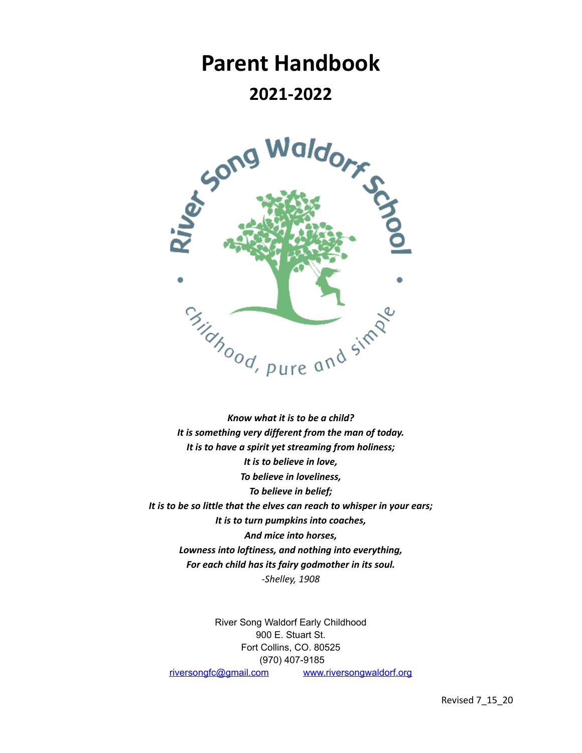# **Parent Handbook**

# **2021-2022**



*Know what it is to be a child? It is something very different from the man of today. It is to have a spirit yet streaming from holiness; It is to believe in love, To believe in loveliness, To believe in belief; It is to be so little that the elves can reach to whisper in your ears; It is to turn pumpkins into coaches, And mice into horses, Lowness into loftiness, and nothing into everything, For each child has its fairy godmother in its soul. -Shelley, 1908*

River Song Waldorf Early Childhood 900 E. Stuart St. Fort Collins, CO. 80525 (970) 407-9185 [riversongfc@gmail.com](mailto:riversongfc@gmail.com) [www.riversongwaldorf.org](http://www.riversongwaldorf.org)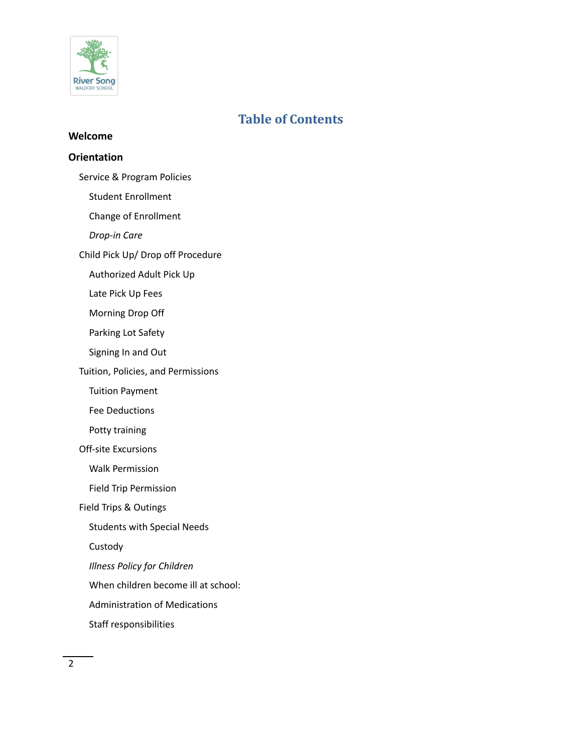

# **Table of Contents**

#### **Welcome**

#### **Orientation**

Service & Program Policies Student Enrollment Change of Enrollment *Drop-in Care* Child Pick Up/ Drop off Procedure Authorized Adult Pick Up Late Pick Up Fees

Morning Drop Off

Parking Lot Safety

Signing In and Out

Tuition, Policies, and Permissions

Tuition Payment

Fee Deductions

Potty training

Off-site Excursions

Walk Permission

Field Trip Permission

Field Trips & Outings

Students with Special Needs

**Custody** 

*Illness Policy for Children*

When children become ill at school:

Administration of Medications

Staff responsibilities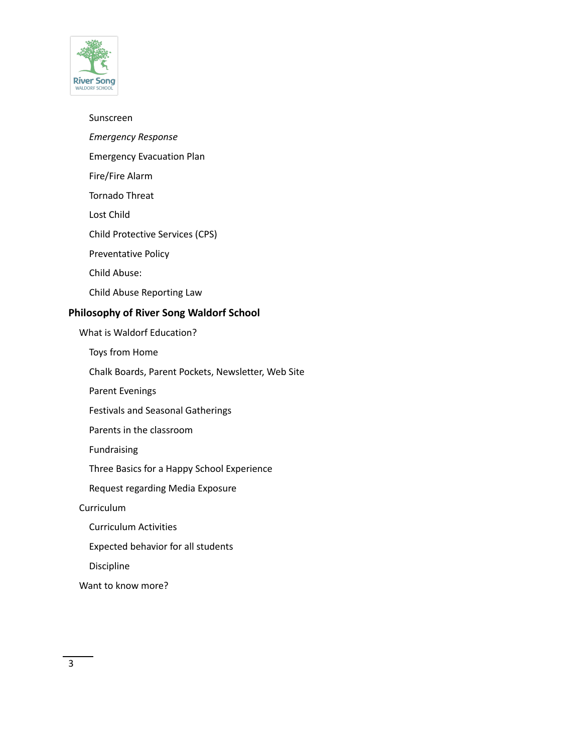

#### Sunscreen

*Emergency Response*

- Emergency Evacuation Plan
- Fire/Fire Alarm
- Tornado Threat
- Lost Child
- Child Protective Services (CPS)
- Preventative Policy
- Child Abuse:
- Child Abuse Reporting Law

#### **Philosophy of River Song Waldorf School**

What is Waldorf Education?

- Toys from Home
- Chalk Boards, Parent Pockets, Newsletter, Web Site
- Parent Evenings
- Festivals and Seasonal Gatherings
- Parents in the classroom
- Fundraising
- Three Basics for a Happy School Experience
- Request regarding Media Exposure
- Curriculum
	- Curriculum Activities
	- Expected behavior for all students
	- Discipline
- Want to know more?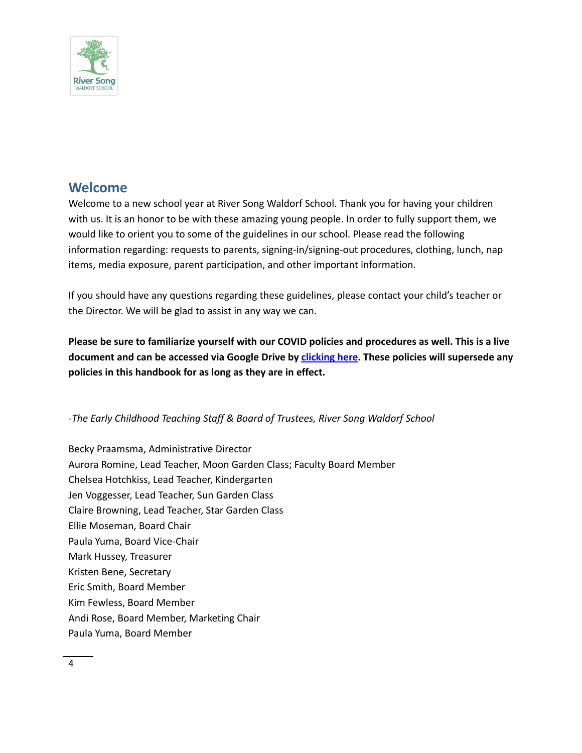

# **Welcome**

Welcome to a new school year at River Song Waldorf School. Thank you for having your children with us. It is an honor to be with these amazing young people. In order to fully support them, we would like to orient you to some of the guidelines in our school. Please read the following information regarding: requests to parents, signing-in/signing-out procedures, clothing, lunch, nap items, media exposure, parent participation, and other important information.

If you should have any questions regarding these guidelines, please contact your child's teacher or the Director. We will be glad to assist in any way we can.

Please be sure to familiarize yourself with our COVID policies and procedures as well. This is a live **document and can be accessed via Google Drive by clicking here. These policies will supersede any policies in this handbook for as long as they are in effect.**

*-The Early Childhood Teaching Staff & Board of Trustees, River Song Waldorf School*

Becky Praamsma, Administrative Director Aurora Romine, Lead Teacher, Moon Garden Class; Faculty Board Member Chelsea Hotchkiss, Lead Teacher, Kindergarten Jen Voggesser, Lead Teacher, Sun Garden Class Claire Browning, Lead Teacher, Star Garden Class Ellie Moseman, Board Chair Paula Yuma, Board Vice-Chair Mark Hussey, Treasurer Kristen Bene, Secretary Eric Smith, Board Member Kim Fewless, Board Member Andi Rose, Board Member, Marketing Chair Paula Yuma, Board Member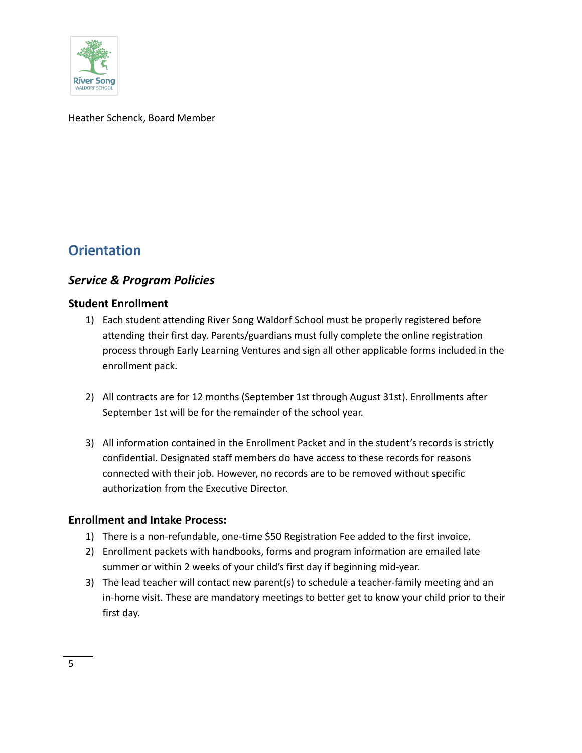

Heather Schenck, Board Member

# **Orientation**

# *Service & Program Policies*

#### **Student Enrollment**

- 1) Each student attending River Song Waldorf School must be properly registered before attending their first day. Parents/guardians must fully complete the online registration process through Early Learning Ventures and sign all other applicable forms included in the enrollment pack.
- 2) All contracts are for 12 months (September 1st through August 31st). Enrollments after September 1st will be for the remainder of the school year.
- 3) All information contained in the Enrollment Packet and in the student's records is strictly confidential. Designated staff members do have access to these records for reasons connected with their job. However, no records are to be removed without specific authorization from the Executive Director.

# **Enrollment and Intake Process:**

- 1) There is a non-refundable, one-time \$50 Registration Fee added to the first invoice.
- 2) Enrollment packets with handbooks, forms and program information are emailed late summer or within 2 weeks of your child's first day if beginning mid-year.
- 3) The lead teacher will contact new parent(s) to schedule a teacher-family meeting and an in-home visit. These are mandatory meetings to better get to know your child prior to their first day.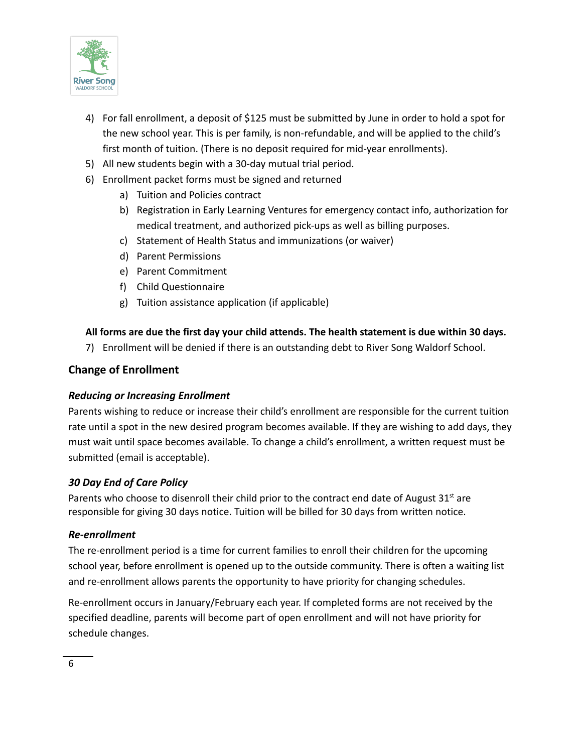

- 4) For fall enrollment, a deposit of \$125 must be submitted by June in order to hold a spot for the new school year. This is per family, is non-refundable, and will be applied to the child's first month of tuition. (There is no deposit required for mid-year enrollments).
- 5) All new students begin with a 30-day mutual trial period.
- 6) Enrollment packet forms must be signed and returned
	- a) Tuition and Policies contract
	- b) Registration in Early Learning Ventures for emergency contact info, authorization for medical treatment, and authorized pick-ups as well as billing purposes.
	- c) Statement of Health Status and immunizations (or waiver)
	- d) Parent Permissions
	- e) Parent Commitment
	- f) Child Questionnaire
	- g) Tuition assistance application (if applicable)

#### **All forms are due the first day your child attends. The health statement is due within 30 days.**

7) Enrollment will be denied if there is an outstanding debt to River Song Waldorf School.

#### **Change of Enrollment**

#### *Reducing or Increasing Enrollment*

Parents wishing to reduce or increase their child's enrollment are responsible for the current tuition rate until a spot in the new desired program becomes available. If they are wishing to add days, they must wait until space becomes available. To change a child's enrollment, a written request must be submitted (email is acceptable).

# *30 Day End of Care Policy*

Parents who choose to disenroll their child prior to the contract end date of August 31<sup>st</sup> are responsible for giving 30 days notice. Tuition will be billed for 30 days from written notice.

#### *Re-enrollment*

The re-enrollment period is a time for current families to enroll their children for the upcoming school year, before enrollment is opened up to the outside community. There is often a waiting list and re-enrollment allows parents the opportunity to have priority for changing schedules.

Re-enrollment occurs in January/February each year. If completed forms are not received by the specified deadline, parents will become part of open enrollment and will not have priority for schedule changes.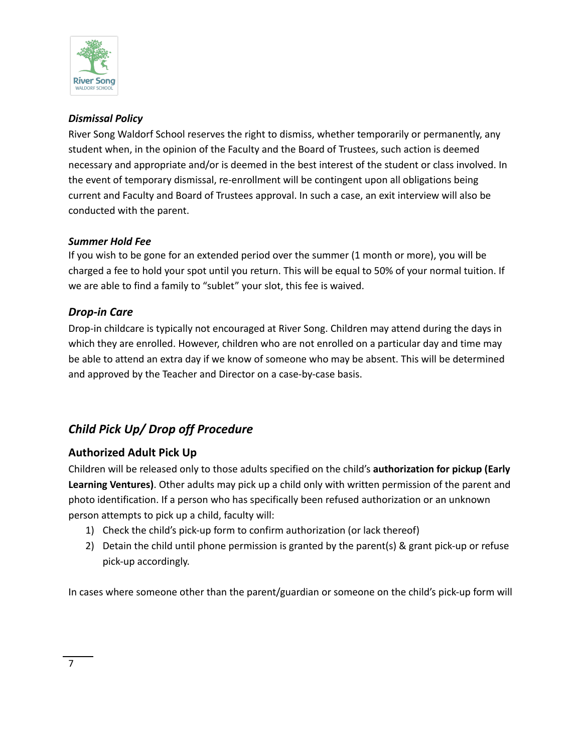

#### *Dismissal Policy*

River Song Waldorf School reserves the right to dismiss, whether temporarily or permanently, any student when, in the opinion of the Faculty and the Board of Trustees, such action is deemed necessary and appropriate and/or is deemed in the best interest of the student or class involved. In the event of temporary dismissal, re-enrollment will be contingent upon all obligations being current and Faculty and Board of Trustees approval. In such a case, an exit interview will also be conducted with the parent.

#### *Summer Hold Fee*

If you wish to be gone for an extended period over the summer (1 month or more), you will be charged a fee to hold your spot until you return. This will be equal to 50% of your normal tuition. If we are able to find a family to "sublet" your slot, this fee is waived.

# *Drop-in Care*

Drop-in childcare is typically not encouraged at River Song. Children may attend during the days in which they are enrolled. However, children who are not enrolled on a particular day and time may be able to attend an extra day if we know of someone who may be absent. This will be determined and approved by the Teacher and Director on a case-by-case basis.

# *Child Pick Up/ Drop off Procedure*

# **Authorized Adult Pick Up**

Children will be released only to those adults specified on the child's **authorization for pickup (Early Learning Ventures)**. Other adults may pick up a child only with written permission of the parent and photo identification. If a person who has specifically been refused authorization or an unknown person attempts to pick up a child, faculty will:

- 1) Check the child's pick-up form to confirm authorization (or lack thereof)
- 2) Detain the child until phone permission is granted by the parent(s) & grant pick-up or refuse pick-up accordingly.

In cases where someone other than the parent/guardian or someone on the child's pick-up form will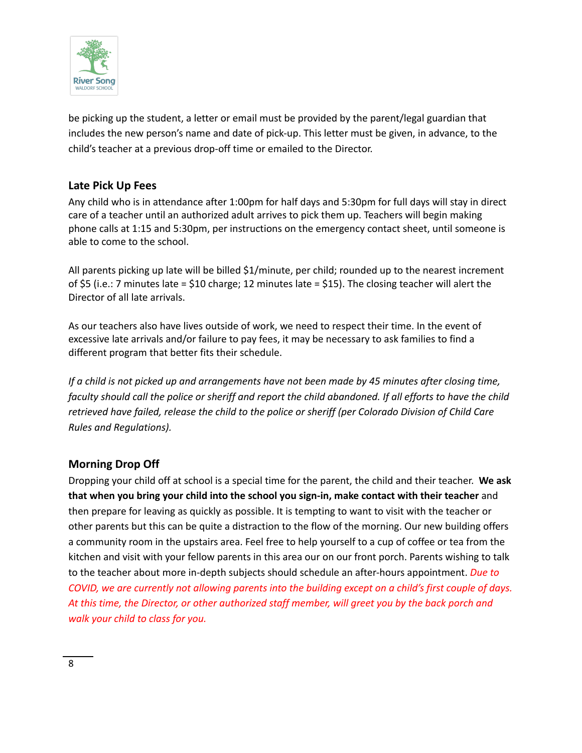

be picking up the student, a letter or email must be provided by the parent/legal guardian that includes the new person's name and date of pick-up. This letter must be given, in advance, to the child's teacher at a previous drop-off time or emailed to the Director.

# **Late Pick Up Fees**

Any child who is in attendance after 1:00pm for half days and 5:30pm for full days will stay in direct care of a teacher until an authorized adult arrives to pick them up. Teachers will begin making phone calls at 1:15 and 5:30pm, per instructions on the emergency contact sheet, until someone is able to come to the school.

All parents picking up late will be billed \$1/minute, per child; rounded up to the nearest increment of \$5 (i.e.: 7 minutes late = \$10 charge; 12 minutes late = \$15). The closing teacher will alert the Director of all late arrivals.

As our teachers also have lives outside of work, we need to respect their time. In the event of excessive late arrivals and/or failure to pay fees, it may be necessary to ask families to find a different program that better fits their schedule.

If a child is not picked up and arrangements have not been made by 45 minutes after closing time, faculty should call the police or sheriff and report the child abandoned. If all efforts to have the child *retrieved have failed, release the child to the police or sheriff (per Colorado Division of Child Care Rules and Regulations).*

# **Morning Drop Off**

Dropping your child off at school is a special time for the parent, the child and their teacher. **We ask that when you bring your child into the school you sign-in, make contact with their teacher** and then prepare for leaving as quickly as possible. It is tempting to want to visit with the teacher or other parents but this can be quite a distraction to the flow of the morning. Our new building offers a community room in the upstairs area. Feel free to help yourself to a cup of coffee or tea from the kitchen and visit with your fellow parents in this area our on our front porch. Parents wishing to talk to the teacher about more in-depth subjects should schedule an after-hours appointment. *Due to* COVID, we are currently not allowing parents into the building except on a child's first couple of days. *At this time, the Director, or other authorized staff member, will greet you by the back porch and walk your child to class for you.*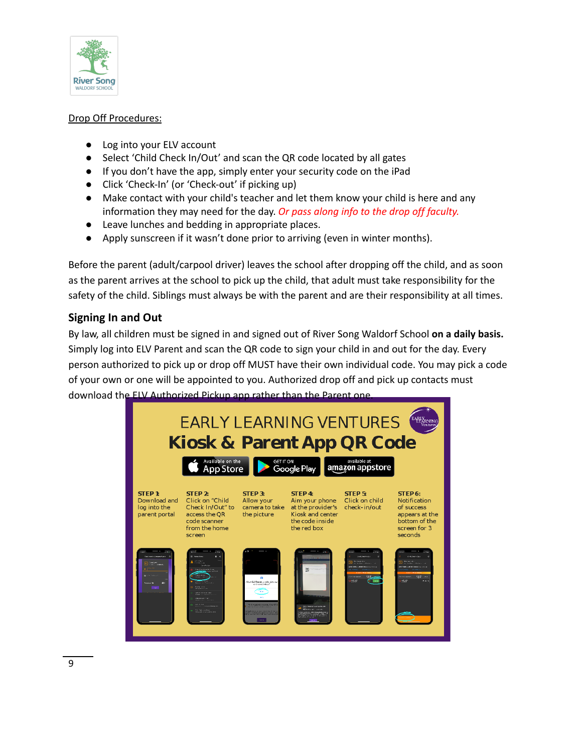

#### Drop Off Procedures:

- Log into your ELV account
- Select 'Child Check In/Out' and scan the QR code located by all gates
- If you don't have the app, simply enter your security code on the iPad
- Click 'Check-In' (or 'Check-out' if picking up)
- Make contact with your child's teacher and let them know your child is here and any information they may need for the day. *Or pass along info to the drop off faculty.*
- Leave lunches and bedding in appropriate places.
- Apply sunscreen if it wasn't done prior to arriving (even in winter months).

Before the parent (adult/carpool driver) leaves the school after dropping off the child, and as soon as the parent arrives at the school to pick up the child, that adult must take responsibility for the safety of the child. Siblings must always be with the parent and are their responsibility at all times.

# **Signing In and Out**

By law, all children must be signed in and signed out of River Song Waldorf School **on a daily basis.** Simply log into ELV Parent and scan the QR code to sign your child in and out for the day. Every person authorized to pick up or drop off MUST have their own individual code. You may pick a code of your own or one will be appointed to you. Authorized drop off and pick up contacts must download the ELV Authorized Pickup app rather than the Parent one.

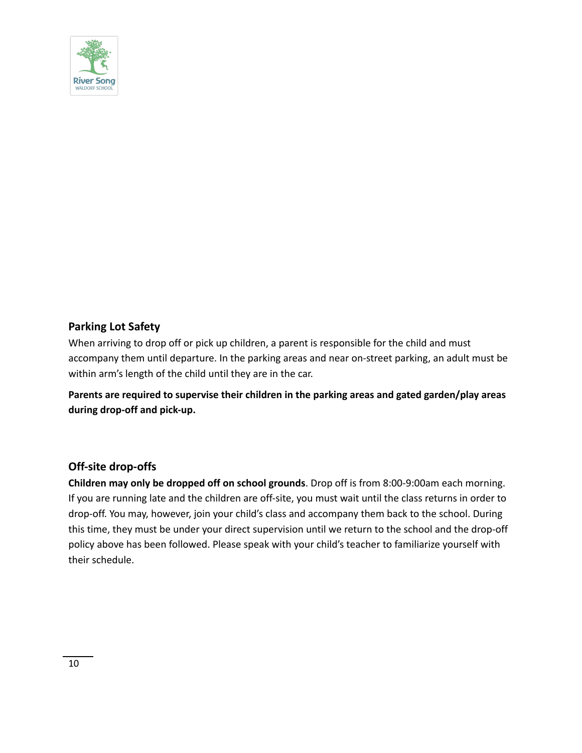

# **Parking Lot Safety**

When arriving to drop off or pick up children, a parent is responsible for the child and must accompany them until departure. In the parking areas and near on-street parking, an adult must be within arm's length of the child until they are in the car.

**Parents are required to supervise their children in the parking areas and gated garden/play areas during drop-off and pick-up.**

# **Off-site drop-offs**

**Children may only be dropped off on school grounds**. Drop off is from 8:00-9:00am each morning. If you are running late and the children are off-site, you must wait until the class returns in order to drop-off. You may, however, join your child's class and accompany them back to the school. During this time, they must be under your direct supervision until we return to the school and the drop-off policy above has been followed. Please speak with your child's teacher to familiarize yourself with their schedule.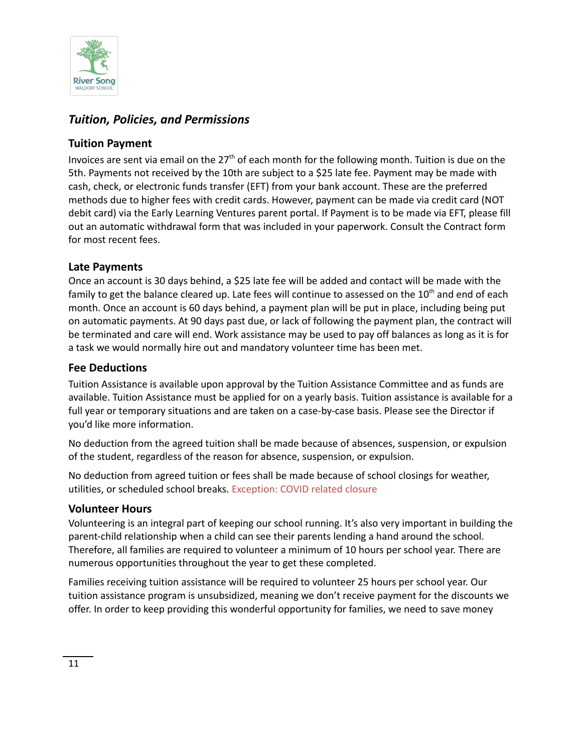

# *Tuition, Policies, and Permissions*

# **Tuition Payment**

Invoices are sent via email on the 27<sup>th</sup> of each month for the following month. Tuition is due on the 5th. Payments not received by the 10th are subject to a \$25 late fee. Payment may be made with cash, check, or electronic funds transfer (EFT) from your bank account. These are the preferred methods due to higher fees with credit cards. However, payment can be made via credit card (NOT debit card) via the Early Learning Ventures parent portal. If Payment is to be made via EFT, please fill out an automatic withdrawal form that was included in your paperwork. Consult the Contract form for most recent fees.

# **Late Payments**

Once an account is 30 days behind, a \$25 late fee will be added and contact will be made with the family to get the balance cleared up. Late fees will continue to assessed on the 10<sup>th</sup> and end of each month. Once an account is 60 days behind, a payment plan will be put in place, including being put on automatic payments. At 90 days past due, or lack of following the payment plan, the contract will be terminated and care will end. Work assistance may be used to pay off balances as long as it is for a task we would normally hire out and mandatory volunteer time has been met.

# **Fee Deductions**

Tuition Assistance is available upon approval by the Tuition Assistance Committee and as funds are available. Tuition Assistance must be applied for on a yearly basis. Tuition assistance is available for a full year or temporary situations and are taken on a case-by-case basis. Please see the Director if you'd like more information.

No deduction from the agreed tuition shall be made because of absences, suspension, or expulsion of the student, regardless of the reason for absence, suspension, or expulsion.

No deduction from agreed tuition or fees shall be made because of school closings for weather, utilities, or scheduled school breaks. Exception: COVID related closure

#### **Volunteer Hours**

Volunteering is an integral part of keeping our school running. It's also very important in building the parent-child relationship when a child can see their parents lending a hand around the school. Therefore, all families are required to volunteer a minimum of 10 hours per school year. There are numerous opportunities throughout the year to get these completed.

Families receiving tuition assistance will be required to volunteer 25 hours per school year. Our tuition assistance program is unsubsidized, meaning we don't receive payment for the discounts we offer. In order to keep providing this wonderful opportunity for families, we need to save money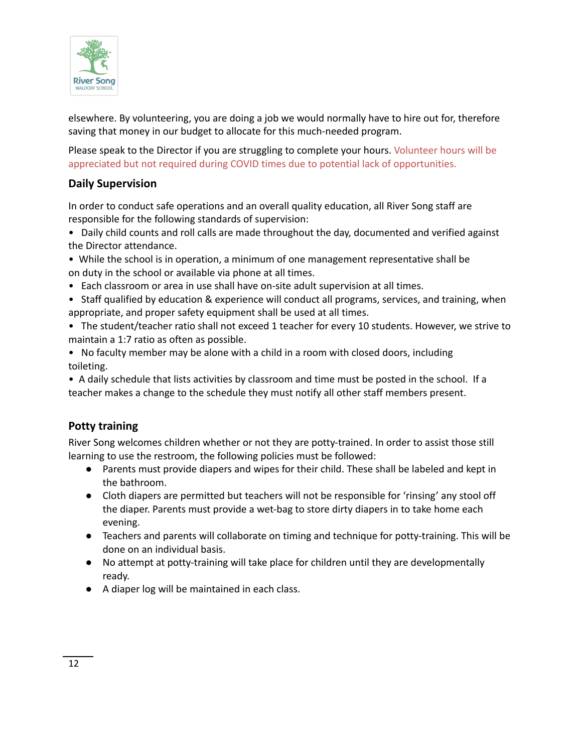

elsewhere. By volunteering, you are doing a job we would normally have to hire out for, therefore saving that money in our budget to allocate for this much-needed program.

Please speak to the Director if you are struggling to complete your hours. Volunteer hours will be appreciated but not required during COVID times due to potential lack of opportunities.

# **Daily Supervision**

In order to conduct safe operations and an overall quality education, all River Song staff are responsible for the following standards of supervision:

- Daily child counts and roll calls are made throughout the day, documented and verified against the Director attendance.
- While the school is in operation, a minimum of one management representative shall be on duty in the school or available via phone at all times.
- Each classroom or area in use shall have on-site adult supervision at all times.
- Staff qualified by education & experience will conduct all programs, services, and training, when appropriate, and proper safety equipment shall be used at all times.
- The student/teacher ratio shall not exceed 1 teacher for every 10 students. However, we strive to maintain a 1:7 ratio as often as possible.
- No faculty member may be alone with a child in a room with closed doors, including toileting.

• A daily schedule that lists activities by classroom and time must be posted in the school. If a teacher makes a change to the schedule they must notify all other staff members present.

# **Potty training**

River Song welcomes children whether or not they are potty-trained. In order to assist those still learning to use the restroom, the following policies must be followed:

- Parents must provide diapers and wipes for their child. These shall be labeled and kept in the bathroom.
- Cloth diapers are permitted but teachers will not be responsible for 'rinsing' any stool off the diaper. Parents must provide a wet-bag to store dirty diapers in to take home each evening.
- Teachers and parents will collaborate on timing and technique for potty-training. This will be done on an individual basis.
- No attempt at potty-training will take place for children until they are developmentally ready.
- A diaper log will be maintained in each class.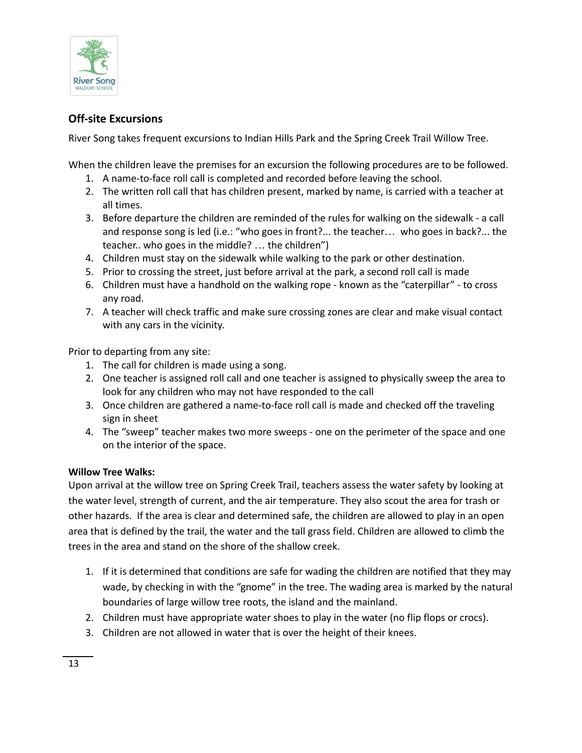

# **Off-site Excursions**

River Song takes frequent excursions to Indian Hills Park and the Spring Creek Trail Willow Tree.

When the children leave the premises for an excursion the following procedures are to be followed.

- 1. A name-to-face roll call is completed and recorded before leaving the school.
- 2. The written roll call that has children present, marked by name, is carried with a teacher at all times.
- 3. Before departure the children are reminded of the rules for walking on the sidewalk a call and response song is led (i.e.: "who goes in front?... the teacher… who goes in back?... the teacher.. who goes in the middle? … the children")
- 4. Children must stay on the sidewalk while walking to the park or other destination.
- 5. Prior to crossing the street, just before arrival at the park, a second roll call is made
- 6. Children must have a handhold on the walking rope known as the "caterpillar" to cross any road.
- 7. A teacher will check traffic and make sure crossing zones are clear and make visual contact with any cars in the vicinity.

Prior to departing from any site:

- 1. The call for children is made using a song.
- 2. One teacher is assigned roll call and one teacher is assigned to physically sweep the area to look for any children who may not have responded to the call
- 3. Once children are gathered a name-to-face roll call is made and checked off the traveling sign in sheet
- 4. The "sweep" teacher makes two more sweeps one on the perimeter of the space and one on the interior of the space.

#### **Willow Tree Walks:**

Upon arrival at the willow tree on Spring Creek Trail, teachers assess the water safety by looking at the water level, strength of current, and the air temperature. They also scout the area for trash or other hazards. If the area is clear and determined safe, the children are allowed to play in an open area that is defined by the trail, the water and the tall grass field. Children are allowed to climb the trees in the area and stand on the shore of the shallow creek.

- 1. If it is determined that conditions are safe for wading the children are notified that they may wade, by checking in with the "gnome" in the tree. The wading area is marked by the natural boundaries of large willow tree roots, the island and the mainland.
- 2. Children must have appropriate water shoes to play in the water (no flip flops or crocs).
- 3. Children are not allowed in water that is over the height of their knees.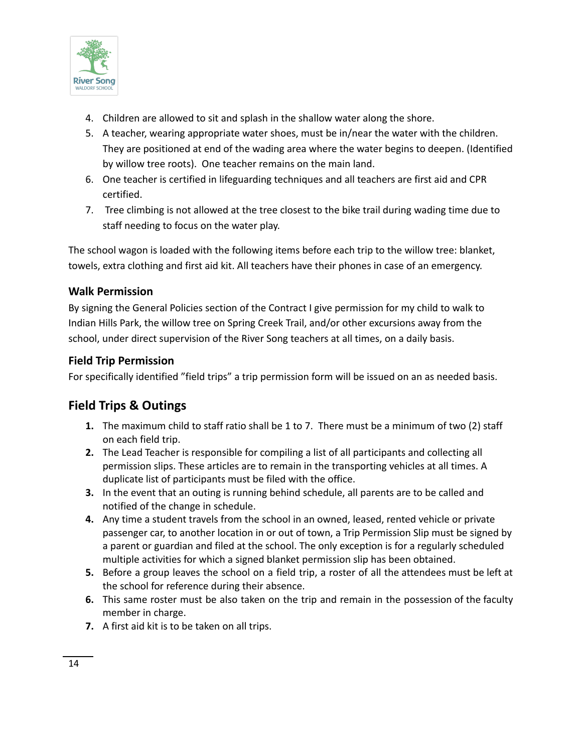

- 4. Children are allowed to sit and splash in the shallow water along the shore.
- 5. A teacher, wearing appropriate water shoes, must be in/near the water with the children. They are positioned at end of the wading area where the water begins to deepen. (Identified by willow tree roots). One teacher remains on the main land.
- 6. One teacher is certified in lifeguarding techniques and all teachers are first aid and CPR certified.
- 7. Tree climbing is not allowed at the tree closest to the bike trail during wading time due to staff needing to focus on the water play.

The school wagon is loaded with the following items before each trip to the willow tree: blanket, towels, extra clothing and first aid kit. All teachers have their phones in case of an emergency.

# **Walk Permission**

By signing the General Policies section of the Contract I give permission for my child to walk to Indian Hills Park, the willow tree on Spring Creek Trail, and/or other excursions away from the school, under direct supervision of the River Song teachers at all times, on a daily basis.

# **Field Trip Permission**

For specifically identified "field trips" a trip permission form will be issued on an as needed basis.

# **Field Trips & Outings**

- **1.** The maximum child to staff ratio shall be 1 to 7. There must be a minimum of two (2) staff on each field trip.
- **2.** The Lead Teacher is responsible for compiling a list of all participants and collecting all permission slips. These articles are to remain in the transporting vehicles at all times. A duplicate list of participants must be filed with the office.
- **3.** In the event that an outing is running behind schedule, all parents are to be called and notified of the change in schedule.
- **4.** Any time a student travels from the school in an owned, leased, rented vehicle or private passenger car, to another location in or out of town, a Trip Permission Slip must be signed by a parent or guardian and filed at the school. The only exception is for a regularly scheduled multiple activities for which a signed blanket permission slip has been obtained.
- **5.** Before a group leaves the school on a field trip, a roster of all the attendees must be left at the school for reference during their absence.
- **6.** This same roster must be also taken on the trip and remain in the possession of the faculty member in charge.
- **7.** A first aid kit is to be taken on all trips.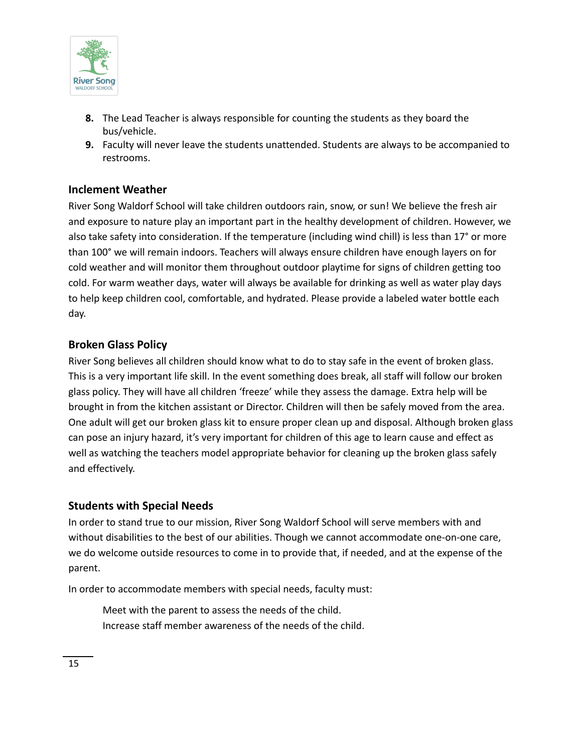

- **8.** The Lead Teacher is always responsible for counting the students as they board the bus/vehicle.
- **9.** Faculty will never leave the students unattended. Students are always to be accompanied to restrooms.

# **Inclement Weather**

River Song Waldorf School will take children outdoors rain, snow, or sun! We believe the fresh air and exposure to nature play an important part in the healthy development of children. However, we also take safety into consideration. If the temperature (including wind chill) is less than 17° or more than 100° we will remain indoors. Teachers will always ensure children have enough layers on for cold weather and will monitor them throughout outdoor playtime for signs of children getting too cold. For warm weather days, water will always be available for drinking as well as water play days to help keep children cool, comfortable, and hydrated. Please provide a labeled water bottle each day.

#### **Broken Glass Policy**

River Song believes all children should know what to do to stay safe in the event of broken glass. This is a very important life skill. In the event something does break, all staff will follow our broken glass policy. They will have all children 'freeze' while they assess the damage. Extra help will be brought in from the kitchen assistant or Director. Children will then be safely moved from the area. One adult will get our broken glass kit to ensure proper clean up and disposal. Although broken glass can pose an injury hazard, it's very important for children of this age to learn cause and effect as well as watching the teachers model appropriate behavior for cleaning up the broken glass safely and effectively.

# **Students with Special Needs**

In order to stand true to our mission, River Song Waldorf School will serve members with and without disabilities to the best of our abilities. Though we cannot accommodate one-on-one care, we do welcome outside resources to come in to provide that, if needed, and at the expense of the parent.

In order to accommodate members with special needs, faculty must:

Meet with the parent to assess the needs of the child. Increase staff member awareness of the needs of the child.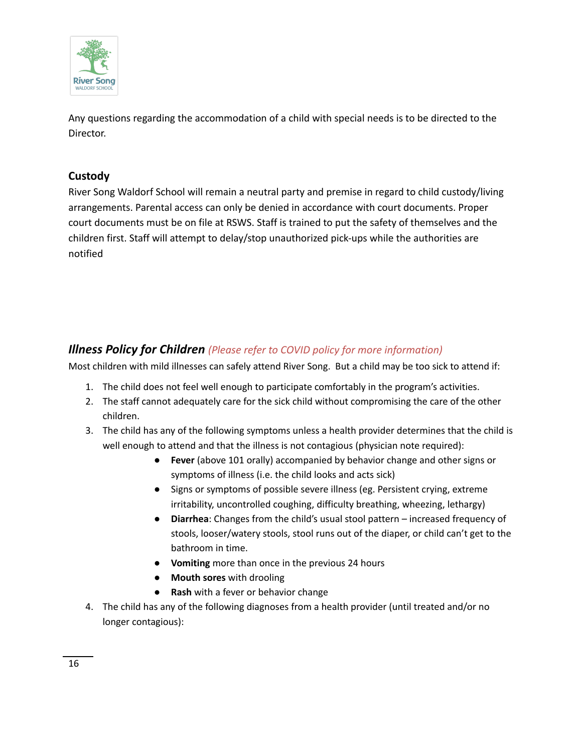

Any questions regarding the accommodation of a child with special needs is to be directed to the Director.

# **Custody**

River Song Waldorf School will remain a neutral party and premise in regard to child custody/living arrangements. Parental access can only be denied in accordance with court documents. Proper court documents must be on file at RSWS. Staff is trained to put the safety of themselves and the children first. Staff will attempt to delay/stop unauthorized pick-ups while the authorities are notified

# *Illness Policy for Children (Please refer to COVID policy for more information)*

Most children with mild illnesses can safely attend River Song. But a child may be too sick to attend if:

- 1. The child does not feel well enough to participate comfortably in the program's activities.
- 2. The staff cannot adequately care for the sick child without compromising the care of the other children.
- 3. The child has any of the following symptoms unless a health provider determines that the child is well enough to attend and that the illness is not contagious (physician note required):
	- **Fever** (above 101 orally) accompanied by behavior change and other signs or symptoms of illness (i.e. the child looks and acts sick)
	- Signs or symptoms of possible severe illness (eg. Persistent crying, extreme irritability, uncontrolled coughing, difficulty breathing, wheezing, lethargy)
	- **Diarrhea**: Changes from the child's usual stool pattern increased frequency of stools, looser/watery stools, stool runs out of the diaper, or child can't get to the bathroom in time.
	- **Vomiting** more than once in the previous 24 hours
	- **Mouth sores** with drooling
	- **Rash** with a fever or behavior change
- 4. The child has any of the following diagnoses from a health provider (until treated and/or no longer contagious):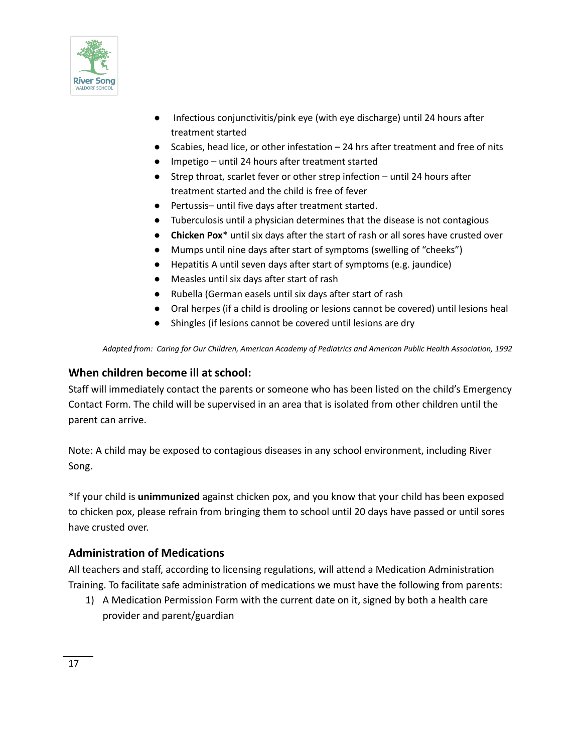

- Infectious conjunctivitis/pink eye (with eye discharge) until 24 hours after treatment started
- $\bullet$  Scabies, head lice, or other infestation  $-24$  hrs after treatment and free of nits
- Impetigo until 24 hours after treatment started
- Strep throat, scarlet fever or other strep infection until 24 hours after treatment started and the child is free of fever
- Pertussis– until five days after treatment started.
- Tuberculosis until a physician determines that the disease is not contagious
- **Chicken Pox**\* until six days after the start of rash or all sores have crusted over
- Mumps until nine days after start of symptoms (swelling of "cheeks")
- Hepatitis A until seven days after start of symptoms (e.g. jaundice)
- Measles until six days after start of rash
- Rubella (German easels until six days after start of rash
- Oral herpes (if a child is drooling or lesions cannot be covered) until lesions heal
- Shingles (if lesions cannot be covered until lesions are dry

*Adapted from: Caring for Our Children, American Academy of Pediatrics and American Public Health Association, 1992*

# **When children become ill at school:**

Staff will immediately contact the parents or someone who has been listed on the child's Emergency Contact Form. The child will be supervised in an area that is isolated from other children until the parent can arrive.

Note: A child may be exposed to contagious diseases in any school environment, including River Song.

\*If your child is **unimmunized** against chicken pox, and you know that your child has been exposed to chicken pox, please refrain from bringing them to school until 20 days have passed or until sores have crusted over.

# **Administration of Medications**

All teachers and staff, according to licensing regulations, will attend a Medication Administration Training. To facilitate safe administration of medications we must have the following from parents:

1) A Medication Permission Form with the current date on it, signed by both a health care provider and parent/guardian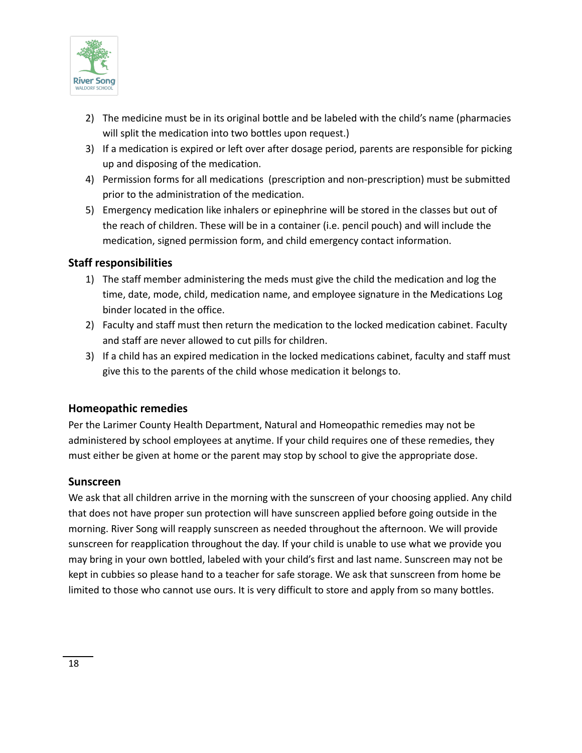

- 2) The medicine must be in its original bottle and be labeled with the child's name (pharmacies will split the medication into two bottles upon request.)
- 3) If a medication is expired or left over after dosage period, parents are responsible for picking up and disposing of the medication.
- 4) Permission forms for all medications (prescription and non-prescription) must be submitted prior to the administration of the medication.
- 5) Emergency medication like inhalers or epinephrine will be stored in the classes but out of the reach of children. These will be in a container (i.e. pencil pouch) and will include the medication, signed permission form, and child emergency contact information.

# **Staff responsibilities**

- 1) The staff member administering the meds must give the child the medication and log the time, date, mode, child, medication name, and employee signature in the Medications Log binder located in the office.
- 2) Faculty and staff must then return the medication to the locked medication cabinet. Faculty and staff are never allowed to cut pills for children.
- 3) If a child has an expired medication in the locked medications cabinet, faculty and staff must give this to the parents of the child whose medication it belongs to.

# **Homeopathic remedies**

Per the Larimer County Health Department, Natural and Homeopathic remedies may not be administered by school employees at anytime. If your child requires one of these remedies, they must either be given at home or the parent may stop by school to give the appropriate dose.

# **Sunscreen**

We ask that all children arrive in the morning with the sunscreen of your choosing applied. Any child that does not have proper sun protection will have sunscreen applied before going outside in the morning. River Song will reapply sunscreen as needed throughout the afternoon. We will provide sunscreen for reapplication throughout the day. If your child is unable to use what we provide you may bring in your own bottled, labeled with your child's first and last name. Sunscreen may not be kept in cubbies so please hand to a teacher for safe storage. We ask that sunscreen from home be limited to those who cannot use ours. It is very difficult to store and apply from so many bottles.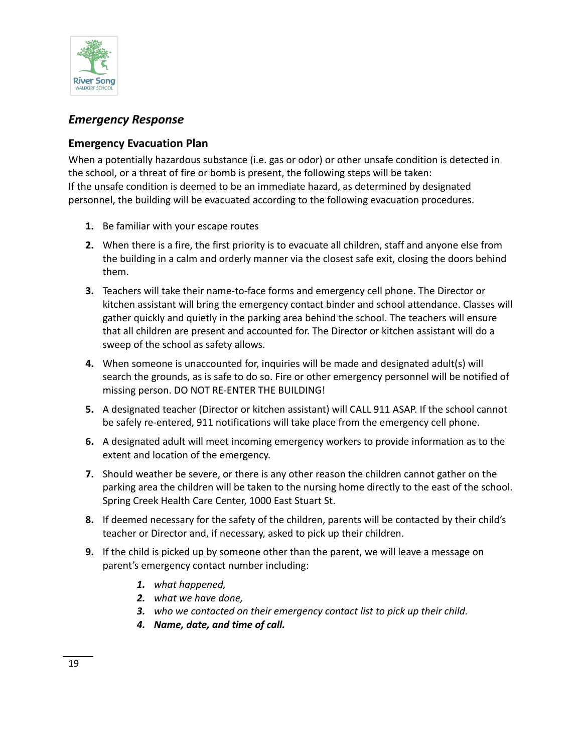

# *Emergency Response*

# **Emergency Evacuation Plan**

When a potentially hazardous substance (i.e. gas or odor) or other unsafe condition is detected in the school, or a threat of fire or bomb is present, the following steps will be taken: If the unsafe condition is deemed to be an immediate hazard, as determined by designated personnel, the building will be evacuated according to the following evacuation procedures.

- **1.** Be familiar with your escape routes
- **2.** When there is a fire, the first priority is to evacuate all children, staff and anyone else from the building in a calm and orderly manner via the closest safe exit, closing the doors behind them.
- **3.** Teachers will take their name-to-face forms and emergency cell phone. The Director or kitchen assistant will bring the emergency contact binder and school attendance. Classes will gather quickly and quietly in the parking area behind the school. The teachers will ensure that all children are present and accounted for. The Director or kitchen assistant will do a sweep of the school as safety allows.
- **4.** When someone is unaccounted for, inquiries will be made and designated adult(s) will search the grounds, as is safe to do so. Fire or other emergency personnel will be notified of missing person. DO NOT RE-ENTER THE BUILDING!
- **5.** A designated teacher (Director or kitchen assistant) will CALL 911 ASAP. If the school cannot be safely re-entered, 911 notifications will take place from the emergency cell phone.
- **6.** A designated adult will meet incoming emergency workers to provide information as to the extent and location of the emergency.
- **7.** Should weather be severe, or there is any other reason the children cannot gather on the parking area the children will be taken to the nursing home directly to the east of the school. Spring Creek Health Care Center, 1000 East Stuart St.
- **8.** If deemed necessary for the safety of the children, parents will be contacted by their child's teacher or Director and, if necessary, asked to pick up their children.
- **9.** If the child is picked up by someone other than the parent, we will leave a message on parent's emergency contact number including:
	- *1. what happened,*
	- *2. what we have done,*
	- *3. who we contacted on their emergency contact list to pick up their child.*
	- *4. Name, date, and time of call.*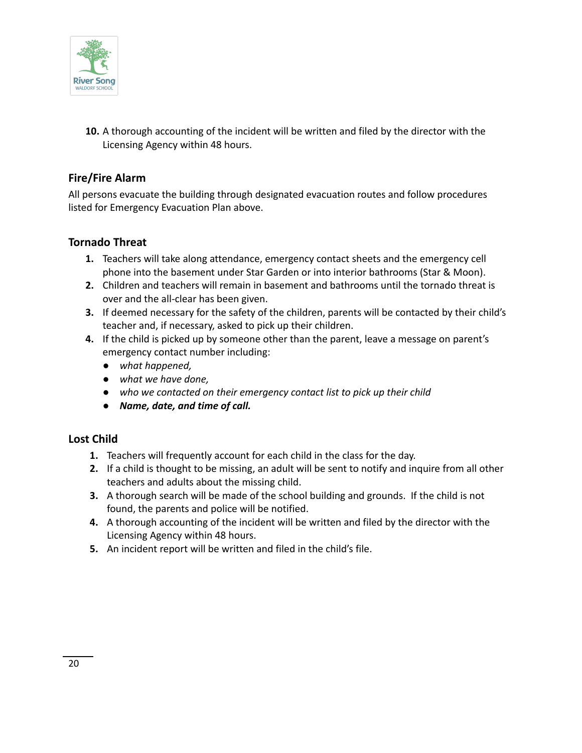

**10.** A thorough accounting of the incident will be written and filed by the director with the Licensing Agency within 48 hours.

# **Fire/Fire Alarm**

All persons evacuate the building through designated evacuation routes and follow procedures listed for Emergency Evacuation Plan above.

#### **Tornado Threat**

- **1.** Teachers will take along attendance, emergency contact sheets and the emergency cell phone into the basement under Star Garden or into interior bathrooms (Star & Moon).
- **2.** Children and teachers will remain in basement and bathrooms until the tornado threat is over and the all-clear has been given.
- **3.** If deemed necessary for the safety of the children, parents will be contacted by their child's teacher and, if necessary, asked to pick up their children.
- **4.** If the child is picked up by someone other than the parent, leave a message on parent's emergency contact number including:
	- *● what happened,*
	- *● what we have done,*
	- *● who we contacted on their emergency contact list to pick up their child*
	- *● Name, date, and time of call.*

# **Lost Child**

- **1.** Teachers will frequently account for each child in the class for the day.
- **2.** If a child is thought to be missing, an adult will be sent to notify and inquire from all other teachers and adults about the missing child.
- **3.** A thorough search will be made of the school building and grounds. If the child is not found, the parents and police will be notified.
- **4.** A thorough accounting of the incident will be written and filed by the director with the Licensing Agency within 48 hours.
- **5.** An incident report will be written and filed in the child's file.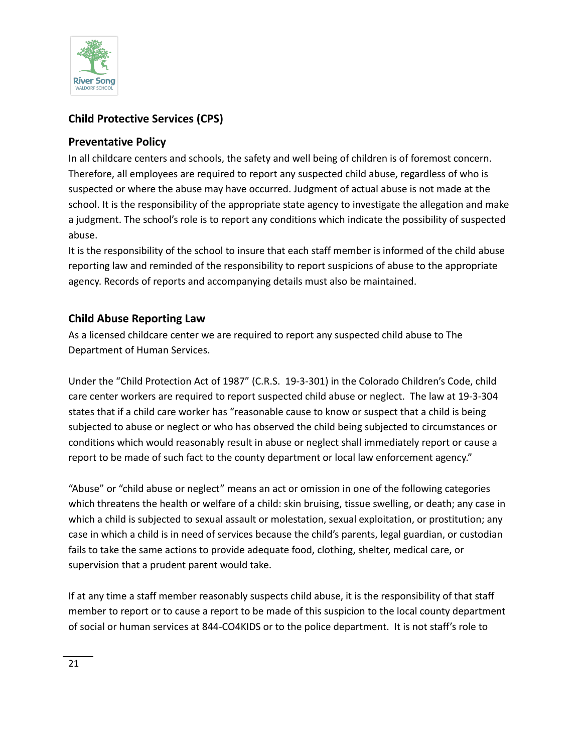

# **Child Protective Services (CPS)**

#### **Preventative Policy**

In all childcare centers and schools, the safety and well being of children is of foremost concern. Therefore, all employees are required to report any suspected child abuse, regardless of who is suspected or where the abuse may have occurred. Judgment of actual abuse is not made at the school. It is the responsibility of the appropriate state agency to investigate the allegation and make a judgment. The school's role is to report any conditions which indicate the possibility of suspected abuse.

It is the responsibility of the school to insure that each staff member is informed of the child abuse reporting law and reminded of the responsibility to report suspicions of abuse to the appropriate agency. Records of reports and accompanying details must also be maintained.

# **Child Abuse Reporting Law**

As a licensed childcare center we are required to report any suspected child abuse to The Department of Human Services.

Under the "Child Protection Act of 1987" (C.R.S. 19-3-301) in the Colorado Children's Code, child care center workers are required to report suspected child abuse or neglect. The law at 19-3-304 states that if a child care worker has "reasonable cause to know or suspect that a child is being subjected to abuse or neglect or who has observed the child being subjected to circumstances or conditions which would reasonably result in abuse or neglect shall immediately report or cause a report to be made of such fact to the county department or local law enforcement agency."

"Abuse" or "child abuse or neglect" means an act or omission in one of the following categories which threatens the health or welfare of a child: skin bruising, tissue swelling, or death; any case in which a child is subjected to sexual assault or molestation, sexual exploitation, or prostitution; any case in which a child is in need of services because the child's parents, legal guardian, or custodian fails to take the same actions to provide adequate food, clothing, shelter, medical care, or supervision that a prudent parent would take.

If at any time a staff member reasonably suspects child abuse, it is the responsibility of that staff member to report or to cause a report to be made of this suspicion to the local county department of social or human services at 844-CO4KIDS or to the police department. It is not staff's role to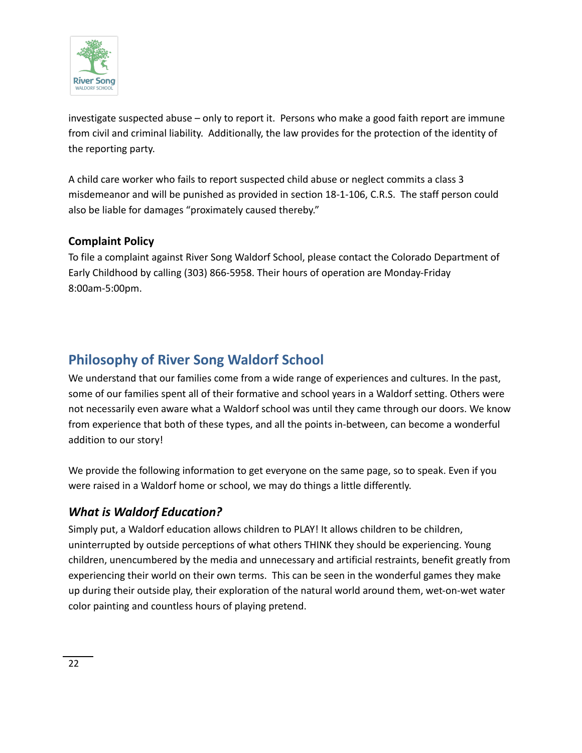

investigate suspected abuse – only to report it. Persons who make a good faith report are immune from civil and criminal liability. Additionally, the law provides for the protection of the identity of the reporting party.

A child care worker who fails to report suspected child abuse or neglect commits a class 3 misdemeanor and will be punished as provided in section 18-1-106, C.R.S. The staff person could also be liable for damages "proximately caused thereby."

# **Complaint Policy**

To file a complaint against River Song Waldorf School, please contact the Colorado Department of Early Childhood by calling (303) 866-5958. Their hours of operation are Monday-Friday 8:00am-5:00pm.

# **Philosophy of River Song Waldorf School**

We understand that our families come from a wide range of experiences and cultures. In the past, some of our families spent all of their formative and school years in a Waldorf setting. Others were not necessarily even aware what a Waldorf school was until they came through our doors. We know from experience that both of these types, and all the points in-between, can become a wonderful addition to our story!

We provide the following information to get everyone on the same page, so to speak. Even if you were raised in a Waldorf home or school, we may do things a little differently.

# *What is Waldorf Education?*

Simply put, a Waldorf education allows children to PLAY! It allows children to be children, uninterrupted by outside perceptions of what others THINK they should be experiencing. Young children, unencumbered by the media and unnecessary and artificial restraints, benefit greatly from experiencing their world on their own terms. This can be seen in the wonderful games they make up during their outside play, their exploration of the natural world around them, wet-on-wet water color painting and countless hours of playing pretend.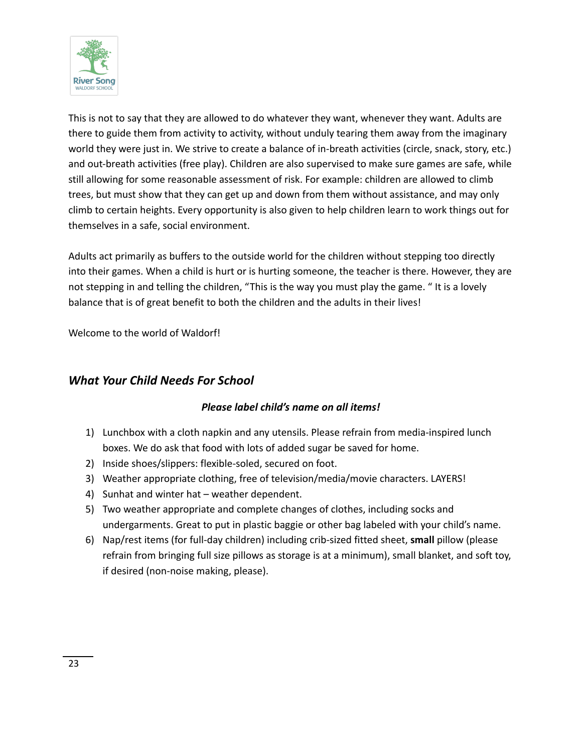

This is not to say that they are allowed to do whatever they want, whenever they want. Adults are there to guide them from activity to activity, without unduly tearing them away from the imaginary world they were just in. We strive to create a balance of in-breath activities (circle, snack, story, etc.) and out-breath activities (free play). Children are also supervised to make sure games are safe, while still allowing for some reasonable assessment of risk. For example: children are allowed to climb trees, but must show that they can get up and down from them without assistance, and may only climb to certain heights. Every opportunity is also given to help children learn to work things out for themselves in a safe, social environment.

Adults act primarily as buffers to the outside world for the children without stepping too directly into their games. When a child is hurt or is hurting someone, the teacher is there. However, they are not stepping in and telling the children, "This is the way you must play the game. " It is a lovely balance that is of great benefit to both the children and the adults in their lives!

Welcome to the world of Waldorf!

# *What Your Child Needs For School*

# *Please label child's name on all items!*

- 1) Lunchbox with a cloth napkin and any utensils. Please refrain from media-inspired lunch boxes. We do ask that food with lots of added sugar be saved for home.
- 2) Inside shoes/slippers: flexible-soled, secured on foot.
- 3) Weather appropriate clothing, free of television/media/movie characters. LAYERS!
- 4) Sunhat and winter hat weather dependent.
- 5) Two weather appropriate and complete changes of clothes, including socks and undergarments. Great to put in plastic baggie or other bag labeled with your child's name.
- 6) Nap/rest items (for full-day children) including crib-sized fitted sheet, **small** pillow (please refrain from bringing full size pillows as storage is at a minimum), small blanket, and soft toy, if desired (non-noise making, please).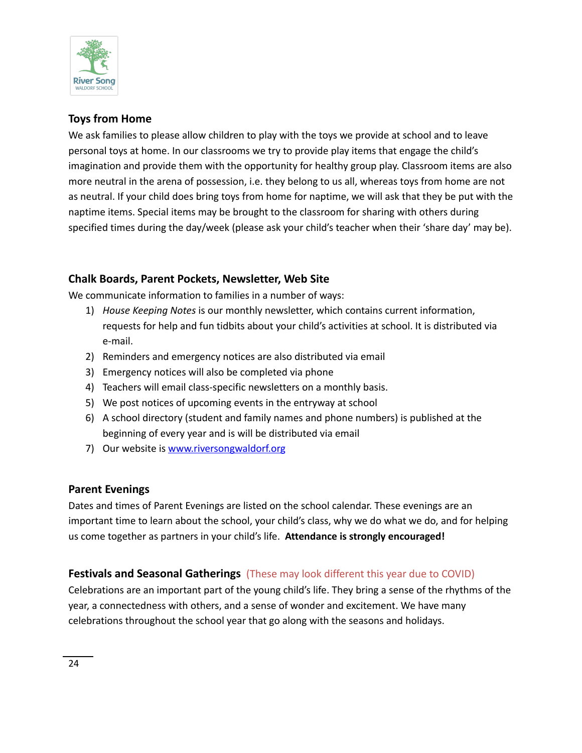

# **Toys from Home**

We ask families to please allow children to play with the toys we provide at school and to leave personal toys at home. In our classrooms we try to provide play items that engage the child's imagination and provide them with the opportunity for healthy group play. Classroom items are also more neutral in the arena of possession, i.e. they belong to us all, whereas toys from home are not as neutral. If your child does bring toys from home for naptime, we will ask that they be put with the naptime items. Special items may be brought to the classroom for sharing with others during specified times during the day/week (please ask your child's teacher when their 'share day' may be).

# **Chalk Boards, Parent Pockets, Newsletter, Web Site**

We communicate information to families in a number of ways:

- 1) *House Keeping Notes* is our monthly newsletter, which contains current information, requests for help and fun tidbits about your child's activities at school. It is distributed via e-mail.
- 2) Reminders and emergency notices are also distributed via email
- 3) Emergency notices will also be completed via phone
- 4) Teachers will email class-specific newsletters on a monthly basis.
- 5) We post notices of upcoming events in the entryway at school
- 6) A school directory (student and family names and phone numbers) is published at the beginning of every year and is will be distributed via email
- 7) Our website is [www.riversongwaldorf.org](http://www.riversongwaldorf.org)

# **Parent Evenings**

Dates and times of Parent Evenings are listed on the school calendar. These evenings are an important time to learn about the school, your child's class, why we do what we do, and for helping us come together as partners in your child's life. **Attendance is strongly encouraged!**

# **Festivals and Seasonal Gatherings** (These may look different this year due to COVID)

Celebrations are an important part of the young child's life. They bring a sense of the rhythms of the year, a connectedness with others, and a sense of wonder and excitement. We have many celebrations throughout the school year that go along with the seasons and holidays.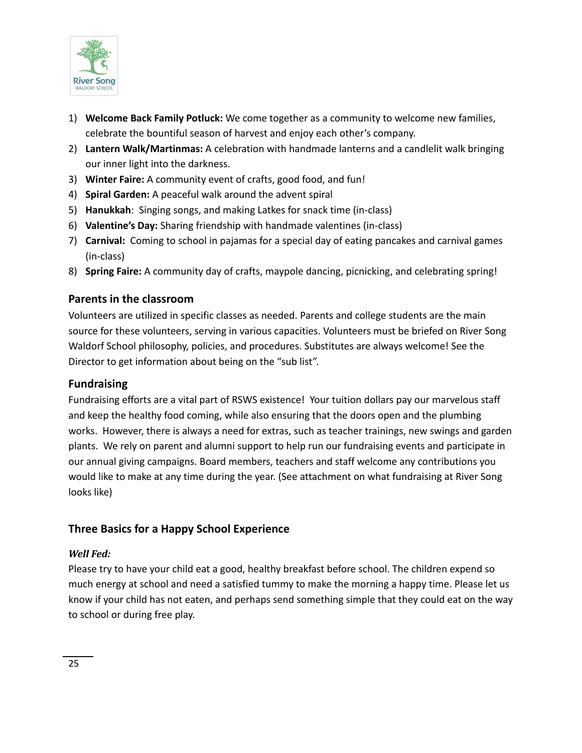

- 1) **Welcome Back Family Potluck:** We come together as a community to welcome new families, celebrate the bountiful season of harvest and enjoy each other's company.
- 2) **Lantern Walk/Martinmas:** A celebration with handmade lanterns and a candlelit walk bringing our inner light into the darkness.
- 3) **Winter Faire:** A community event of crafts, good food, and fun!
- 4) **Spiral Garden:** A peaceful walk around the advent spiral
- 5) **Hanukkah**: Singing songs, and making Latkes for snack time (in-class)
- 6) **Valentine's Day:** Sharing friendship with handmade valentines (in-class)
- 7) **Carnival:** Coming to school in pajamas for a special day of eating pancakes and carnival games (in-class)
- 8) **Spring Faire:** A community day of crafts, maypole dancing, picnicking, and celebrating spring!

#### **Parents in the classroom**

Volunteers are utilized in specific classes as needed. Parents and college students are the main source for these volunteers, serving in various capacities. Volunteers must be briefed on River Song Waldorf School philosophy, policies, and procedures. Substitutes are always welcome! See the Director to get information about being on the "sub list".

#### **Fundraising**

Fundraising efforts are a vital part of RSWS existence! Your tuition dollars pay our marvelous staff and keep the healthy food coming, while also ensuring that the doors open and the plumbing works. However, there is always a need for extras, such as teacher trainings, new swings and garden plants. We rely on parent and alumni support to help run our fundraising events and participate in our annual giving campaigns. Board members, teachers and staff welcome any contributions you would like to make at any time during the year. (See attachment on what fundraising at River Song looks like)

# **Three Basics for a Happy School Experience**

#### *Well Fed:*

Please try to have your child eat a good, healthy breakfast before school. The children expend so much energy at school and need a satisfied tummy to make the morning a happy time. Please let us know if your child has not eaten, and perhaps send something simple that they could eat on the way to school or during free play.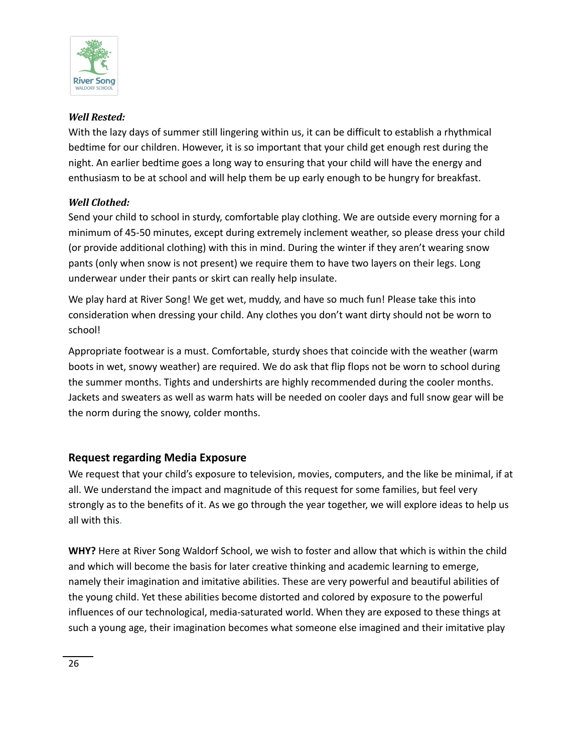

#### *Well Rested:*

With the lazy days of summer still lingering within us, it can be difficult to establish a rhythmical bedtime for our children. However, it is so important that your child get enough rest during the night. An earlier bedtime goes a long way to ensuring that your child will have the energy and enthusiasm to be at school and will help them be up early enough to be hungry for breakfast.

#### *Well Clothed:*

Send your child to school in sturdy, comfortable play clothing. We are outside every morning for a minimum of 45-50 minutes, except during extremely inclement weather, so please dress your child (or provide additional clothing) with this in mind. During the winter if they aren't wearing snow pants (only when snow is not present) we require them to have two layers on their legs. Long underwear under their pants or skirt can really help insulate.

We play hard at River Song! We get wet, muddy, and have so much fun! Please take this into consideration when dressing your child. Any clothes you don't want dirty should not be worn to school!

Appropriate footwear is a must. Comfortable, sturdy shoes that coincide with the weather (warm boots in wet, snowy weather) are required. We do ask that flip flops not be worn to school during the summer months. Tights and undershirts are highly recommended during the cooler months. Jackets and sweaters as well as warm hats will be needed on cooler days and full snow gear will be the norm during the snowy, colder months.

# **Request regarding Media Exposure**

We request that your child's exposure to television, movies, computers, and the like be minimal, if at all. We understand the impact and magnitude of this request for some families, but feel very strongly as to the benefits of it. As we go through the year together, we will explore ideas to help us all with this.

**WHY?** Here at River Song Waldorf School, we wish to foster and allow that which is within the child and which will become the basis for later creative thinking and academic learning to emerge, namely their imagination and imitative abilities. These are very powerful and beautiful abilities of the young child. Yet these abilities become distorted and colored by exposure to the powerful influences of our technological, media-saturated world. When they are exposed to these things at such a young age, their imagination becomes what someone else imagined and their imitative play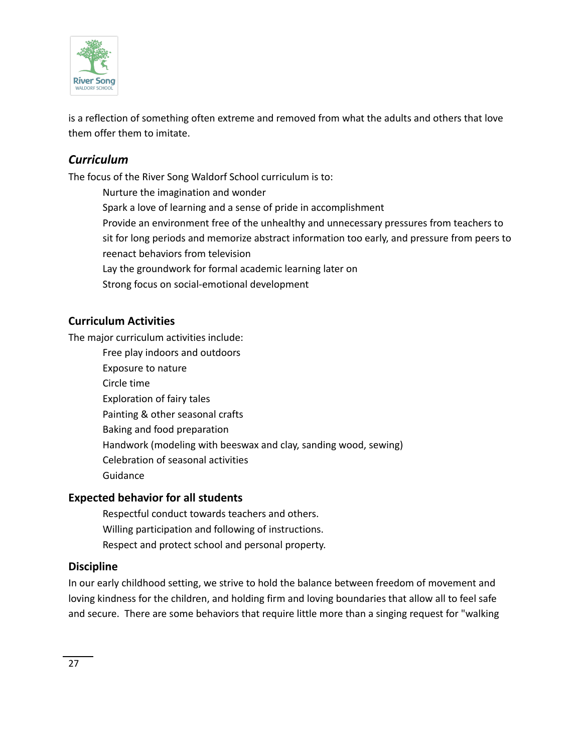

is a reflection of something often extreme and removed from what the adults and others that love them offer them to imitate.

# *Curriculum*

The focus of the River Song Waldorf School curriculum is to:

Nurture the imagination and wonder Spark a love of learning and a sense of pride in accomplishment Provide an environment free of the unhealthy and unnecessary pressures from teachers to sit for long periods and memorize abstract information too early, and pressure from peers to reenact behaviors from television Lay the groundwork for formal academic learning later on Strong focus on social-emotional development

# **Curriculum Activities**

The major curriculum activities include:

Free play indoors and outdoors Exposure to nature Circle time Exploration of fairy tales Painting & other seasonal crafts Baking and food preparation Handwork (modeling with beeswax and clay, sanding wood, sewing) Celebration of seasonal activities Guidance

# **Expected behavior for all students**

Respectful conduct towards teachers and others. Willing participation and following of instructions. Respect and protect school and personal property.

# **Discipline**

In our early childhood setting, we strive to hold the balance between freedom of movement and loving kindness for the children, and holding firm and loving boundaries that allow all to feel safe and secure. There are some behaviors that require little more than a singing request for "walking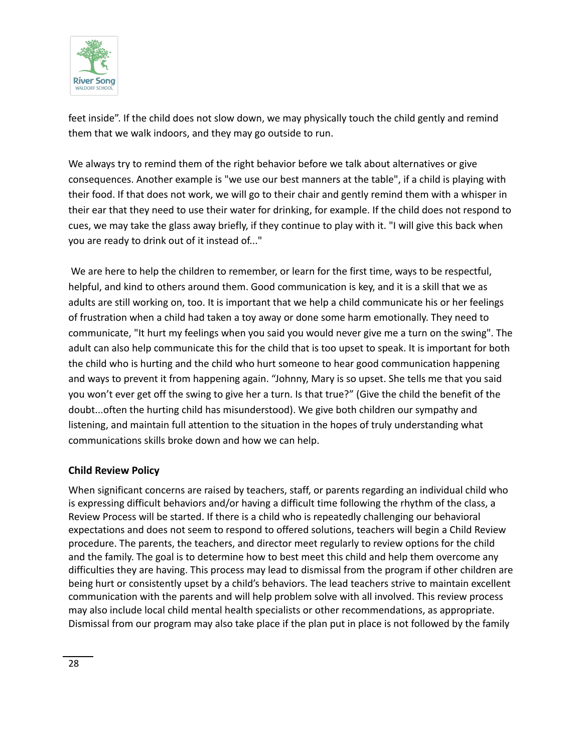

feet inside". If the child does not slow down, we may physically touch the child gently and remind them that we walk indoors, and they may go outside to run.

We always try to remind them of the right behavior before we talk about alternatives or give consequences. Another example is "we use our best manners at the table", if a child is playing with their food. If that does not work, we will go to their chair and gently remind them with a whisper in their ear that they need to use their water for drinking, for example. If the child does not respond to cues, we may take the glass away briefly, if they continue to play with it. "I will give this back when you are ready to drink out of it instead of..."

We are here to help the children to remember, or learn for the first time, ways to be respectful, helpful, and kind to others around them. Good communication is key, and it is a skill that we as adults are still working on, too. It is important that we help a child communicate his or her feelings of frustration when a child had taken a toy away or done some harm emotionally. They need to communicate, "It hurt my feelings when you said you would never give me a turn on the swing". The adult can also help communicate this for the child that is too upset to speak. It is important for both the child who is hurting and the child who hurt someone to hear good communication happening and ways to prevent it from happening again. "Johnny, Mary is so upset. She tells me that you said you won't ever get off the swing to give her a turn. Is that true?" (Give the child the benefit of the doubt...often the hurting child has misunderstood). We give both children our sympathy and listening, and maintain full attention to the situation in the hopes of truly understanding what communications skills broke down and how we can help.

# **Child Review Policy**

When significant concerns are raised by teachers, staff, or parents regarding an individual child who is expressing difficult behaviors and/or having a difficult time following the rhythm of the class, a Review Process will be started. If there is a child who is repeatedly challenging our behavioral expectations and does not seem to respond to offered solutions, teachers will begin a Child Review procedure. The parents, the teachers, and director meet regularly to review options for the child and the family. The goal is to determine how to best meet this child and help them overcome any difficulties they are having. This process may lead to dismissal from the program if other children are being hurt or consistently upset by a child's behaviors. The lead teachers strive to maintain excellent communication with the parents and will help problem solve with all involved. This review process may also include local child mental health specialists or other recommendations, as appropriate. Dismissal from our program may also take place if the plan put in place is not followed by the family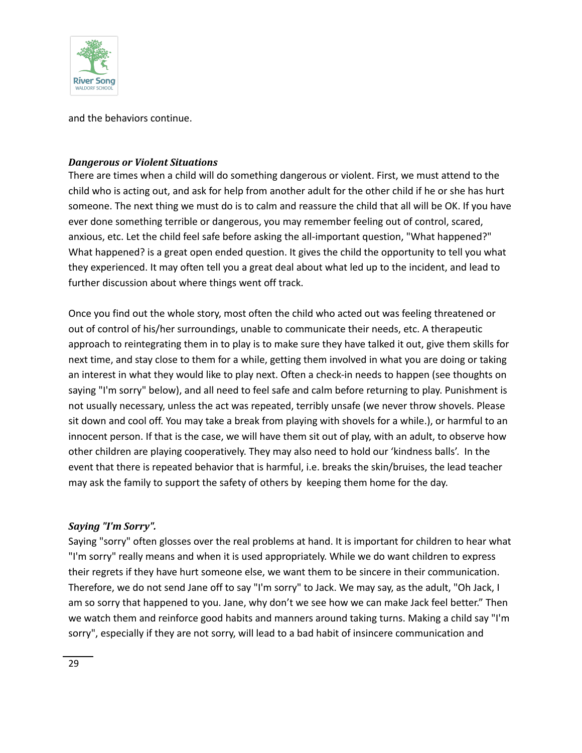

and the behaviors continue.

#### *Dangerous or Violent Situations*

There are times when a child will do something dangerous or violent. First, we must attend to the child who is acting out, and ask for help from another adult for the other child if he or she has hurt someone. The next thing we must do is to calm and reassure the child that all will be OK. If you have ever done something terrible or dangerous, you may remember feeling out of control, scared, anxious, etc. Let the child feel safe before asking the all-important question, "What happened?" What happened? is a great open ended question. It gives the child the opportunity to tell you what they experienced. It may often tell you a great deal about what led up to the incident, and lead to further discussion about where things went off track.

Once you find out the whole story, most often the child who acted out was feeling threatened or out of control of his/her surroundings, unable to communicate their needs, etc. A therapeutic approach to reintegrating them in to play is to make sure they have talked it out, give them skills for next time, and stay close to them for a while, getting them involved in what you are doing or taking an interest in what they would like to play next. Often a check-in needs to happen (see thoughts on saying "I'm sorry" below), and all need to feel safe and calm before returning to play. Punishment is not usually necessary, unless the act was repeated, terribly unsafe (we never throw shovels. Please sit down and cool off. You may take a break from playing with shovels for a while.), or harmful to an innocent person. If that is the case, we will have them sit out of play, with an adult, to observe how other children are playing cooperatively. They may also need to hold our 'kindness balls'. In the event that there is repeated behavior that is harmful, i.e. breaks the skin/bruises, the lead teacher may ask the family to support the safety of others by keeping them home for the day.

#### *Saying "I'm Sorry".*

Saying "sorry" often glosses over the real problems at hand. It is important for children to hear what "I'm sorry" really means and when it is used appropriately. While we do want children to express their regrets if they have hurt someone else, we want them to be sincere in their communication. Therefore, we do not send Jane off to say "I'm sorry" to Jack. We may say, as the adult, "Oh Jack, I am so sorry that happened to you. Jane, why don't we see how we can make Jack feel better." Then we watch them and reinforce good habits and manners around taking turns. Making a child say "I'm sorry", especially if they are not sorry, will lead to a bad habit of insincere communication and